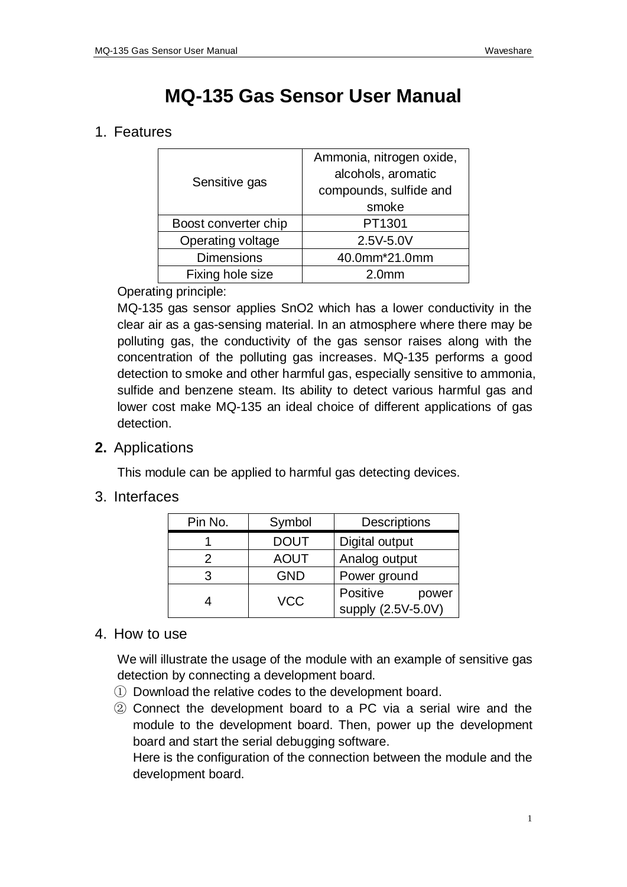# **MQ-135 Gas Sensor User Manual**

## 1. Features

|  | Sensitive gas        | Ammonia, nitrogen oxide, |
|--|----------------------|--------------------------|
|  |                      | alcohols, aromatic       |
|  |                      | compounds, sulfide and   |
|  |                      | smoke                    |
|  | Boost converter chip | PT1301                   |
|  | Operating voltage    | 2.5V-5.0V                |
|  | <b>Dimensions</b>    | 40.0mm*21.0mm            |
|  | Fixing hole size     | 2.0 <sub>mm</sub>        |
|  |                      |                          |

#### Operating principle:

MQ-135 gas sensor applies SnO2 which has a lower conductivity in the clear air as a gas-sensing material. In an atmosphere where there may be polluting gas, the conductivity of the gas sensor raises along with the concentration of the polluting gas increases. MQ-135 performs a good detection to smoke and other harmful gas, especially sensitive to ammonia, [sulfide](http://dict.youdao.com/search?q=sulphide&keyfrom=E2Ctranslation) and benzene steam. Its ability to detect various harmful gas and lower cost make MQ-135 an ideal choice of different applications of gas detection.

## **2.** Applications

This module can be applied to harmful gas detecting devices.

### 3. Interfaces

| Pin No. | Symbol      | <b>Descriptions</b> |
|---------|-------------|---------------------|
|         | <b>DOUT</b> | Digital output      |
| 2       | <b>AOUT</b> | Analog output       |
| 3       | <b>GND</b>  | Power ground        |
|         | <b>VCC</b>  | Positive<br>power   |
|         |             | supply (2.5V-5.0V)  |

#### 4. How to use

We will illustrate the usage of the module with an example of sensitive gas detection by connecting a development board.

- ① Download the relative codes to the development board.
- ② Connect the development board to a PC via a serial wire and the module to the development board. Then, power up the development board and start the serial debugging software.

Here is the configuration of the connection between the module and the development board.